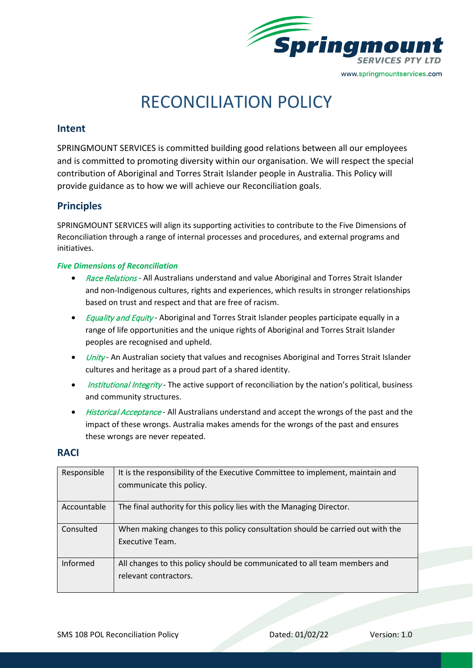

# RECONCILIATION POLICY

### **Intent**

SPRINGMOUNT SERVICES is committed building good relations between all our employees and is committed to promoting diversity within our organisation. We will respect the special contribution of Aboriginal and Torres Strait Islander people in Australia. This Policy will provide guidance as to how we will achieve our Reconciliation goals.

## **Principles**

SPRINGMOUNT SERVICES will align its supporting activities to contribute to the Five Dimensions of Reconciliation through a range of internal processes and procedures, and external programs and initiatives.

#### *Five Dimensions of Reconciliation*

- Race Relations All Australians understand and value Aboriginal and Torres Strait Islander and non-Indigenous cultures, rights and experiences, which results in stronger relationships based on trust and respect and that are free of racism.
- *Equality and Equity* Aboriginal and Torres Strait Islander peoples participate equally in a range of life opportunities and the unique rights of Aboriginal and Torres Strait Islander peoples are recognised and upheld.
- *Unity* An Australian society that values and recognises Aboriginal and Torres Strait Islander cultures and heritage as a proud part of a shared identity.
- *Institutional Integrity* The active support of reconciliation by the nation's political, business and community structures.
- Historical Acceptance All Australians understand and accept the wrongs of the past and the impact of these wrongs. Australia makes amends for the wrongs of the past and ensures these wrongs are never repeated.

#### **RACI**

| Responsible | It is the responsibility of the Executive Committee to implement, maintain and<br>communicate this policy. |
|-------------|------------------------------------------------------------------------------------------------------------|
| Accountable | The final authority for this policy lies with the Managing Director.                                       |
| Consulted   | When making changes to this policy consultation should be carried out with the<br>Executive Team.          |
| Informed    | All changes to this policy should be communicated to all team members and<br>relevant contractors.         |